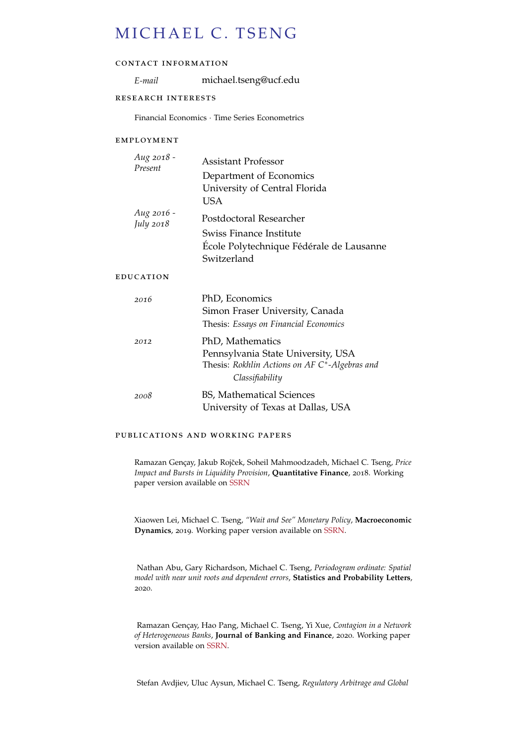# MICHAEL C. TSENG

## contact information

*E-mail* michael.tseng@ucf.edu

## research interests

Financial Economics · Time Series Econometrics

## employment

| Aug 2018 -<br>Present          | Assistant Professor                                                                                                        |
|--------------------------------|----------------------------------------------------------------------------------------------------------------------------|
|                                | Department of Economics<br>University of Central Florida<br>USA                                                            |
| Aug 2016 -<br><i>July</i> 2018 | Postdoctoral Researcher                                                                                                    |
|                                | Swiss Finance Institute<br>École Polytechnique Fédérale de Lausanne<br>Switzerland                                         |
| EDUCATION                      |                                                                                                                            |
| 2016                           | PhD, Economics<br>Simon Fraser University, Canada<br>Thesis: Essays on Financial Economics                                 |
| 2012                           | PhD, Mathematics<br>Pennsylvania State University, USA<br>Thesis: Rokhlin Actions on AF C*-Algebras and<br>Classifiability |
| 2008                           | BS, Mathematical Sciences<br>University of Texas at Dallas, USA                                                            |

## publications and working papers

Ramazan Gençay, Jakub Rojček, Soheil Mahmoodzadeh, Michael C. Tseng, Price *Impact and Bursts in Liquidity Provision*, **Quantitative Finance**, 2018. Working paper version available on [SSRN](https://papers.ssrn.com/sol3/papers.cfm?abstract_id=2745342)

Xiaowen Lei, Michael C. Tseng, *"Wait and See" Monetary Policy*, **Macroeconomic Dynamics**, 2019. Working paper version available on [SSRN.](https://papers.ssrn.com/sol3/papers.cfm?abstract_id=2675600)

Nathan Abu, Gary Richardson, Michael C. Tseng, *Periodogram ordinate: Spatial model with near unit roots and dependent errors*, **Statistics and Probability Letters**, 2020.

Ramazan Gençay, Hao Pang, Michael C. Tseng, Yi Xue, *Contagion in a Network of Heterogeneous Banks*, **Journal of Banking and Finance**, 2020. Working paper version available on [SSRN.](https://papers.ssrn.com/sol3/papers.cfm?abstract_id=3039399)

Stefan Avdjiev, Uluc Aysun, Michael C. Tseng, *Regulatory Arbitrage and Global*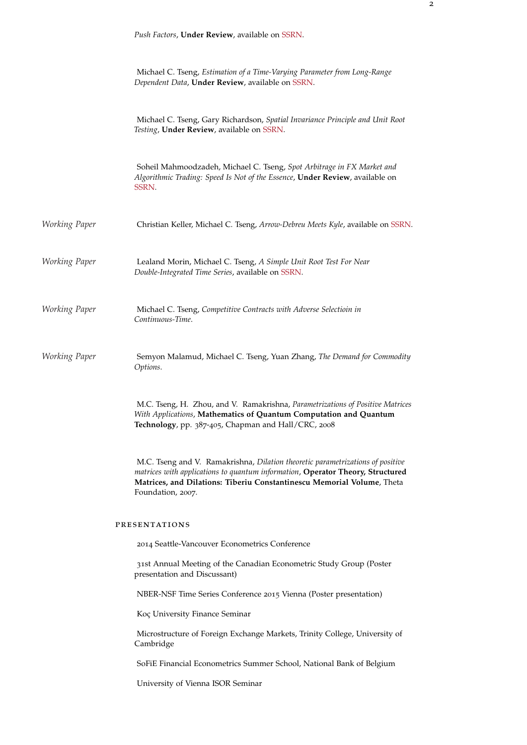|               | Push Factors, Under Review, available on SSRN.                                                                                                                                                                                                                  |
|---------------|-----------------------------------------------------------------------------------------------------------------------------------------------------------------------------------------------------------------------------------------------------------------|
|               | Michael C. Tseng, Estimation of a Time-Varying Parameter from Long-Range<br>Dependent Data, Under Review, available on SSRN.                                                                                                                                    |
|               | Michael C. Tseng, Gary Richardson, Spatial Invariance Principle and Unit Root<br>Testing, Under Review, available on SSRN.                                                                                                                                      |
|               | Soheil Mahmoodzadeh, Michael C. Tseng, Spot Arbitrage in FX Market and<br>Algorithmic Trading: Speed Is Not of the Essence, Under Review, available on<br>SSRN.                                                                                                 |
| Working Paper | Christian Keller, Michael C. Tseng, Arrow-Debreu Meets Kyle, available on SSRN.                                                                                                                                                                                 |
| Working Paper | Lealand Morin, Michael C. Tseng, A Simple Unit Root Test For Near<br>Double-Integrated Time Series, available on SSRN.                                                                                                                                          |
| Working Paper | Michael C. Tseng, Competitive Contracts with Adverse Selectioin in<br>Continuous-Time.                                                                                                                                                                          |
| Working Paper | Semyon Malamud, Michael C. Tseng, Yuan Zhang, The Demand for Commodity<br>Options.                                                                                                                                                                              |
|               | M.C. Tseng, H. Zhou, and V. Ramakrishna, Parametrizations of Positive Matrices<br>With Applications, Mathematics of Quantum Computation and Quantum<br>Technology, pp. 387-405, Chapman and Hall/CRC, 2008                                                      |
|               | M.C. Tseng and V. Ramakrishna, Dilation theoretic parametrizations of positive<br>matrices with applications to quantum information, Operator Theory, Structured<br>Matrices, and Dilations: Tiberiu Constantinescu Memorial Volume, Theta<br>Foundation, 2007. |
|               | <b>PRESENTATIONS</b>                                                                                                                                                                                                                                            |
|               | 2014 Seattle-Vancouver Econometrics Conference                                                                                                                                                                                                                  |
|               | 31st Annual Meeting of the Canadian Econometric Study Group (Poster<br>presentation and Discussant)                                                                                                                                                             |
|               | NBER-NSF Time Series Conference 2015 Vienna (Poster presentation)                                                                                                                                                                                               |
|               | Koç University Finance Seminar                                                                                                                                                                                                                                  |
|               | Microstructure of Foreign Exchange Markets, Trinity College, University of<br>Cambridge                                                                                                                                                                         |
|               | SoFiE Financial Econometrics Summer School, National Bank of Belgium                                                                                                                                                                                            |
|               | University of Vienna ISOR Seminar                                                                                                                                                                                                                               |